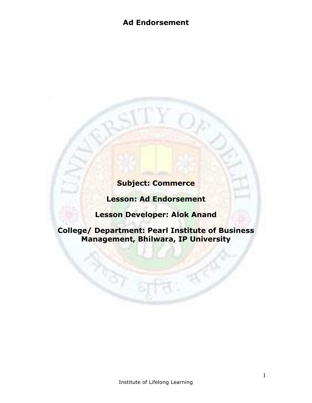# **Subject: Commerce**

**Lesson: Ad Endorsement**

**Lesson Developer: Alok Anand** 

**College/ Department: Pearl Institute of Business Management, Bhilwara, IP University**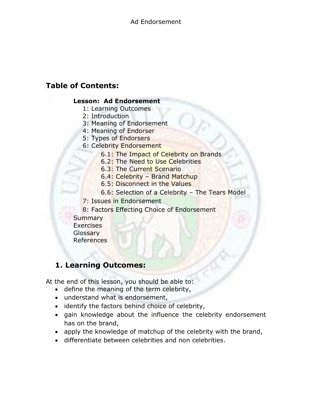## **Table of Contents:**

## **Lesson: Ad Endorsement**

- 1: Learning Outcomes
- 2: Introduction
- 3: Meaning of Endorsement
- 4: Meaning of Endorser
- 5: Types of Endorsers
- 6: Celebrity Endorsement
	- 6.1: The Impact of Celebrity on Brands
	- 6.2: The Need to Use Celebrities
	- 6.3: The Current Scenario
	- 6.4: Celebrity Brand Matchup
	- 6.5: Disconnect in the Values
	- 6.6: Selection of a Celebrity The Tears Model
- 7: Issues in Endorsement
- 8: Factors Effecting Choice of Endorsement
- **Summary Exercises Glossary** References

## **1. Learning Outcomes:**

At the end of this lesson, you should be able to:

- define the meaning of the term celebrity,
- understand what is endorsement,
- identify the factors behind choice of celebrity,
- gain knowledge about the influence the celebrity endorsement has on the brand,
- apply the knowledge of matchup of the celebrity with the brand,
- differentiate between celebrities and non celebrities.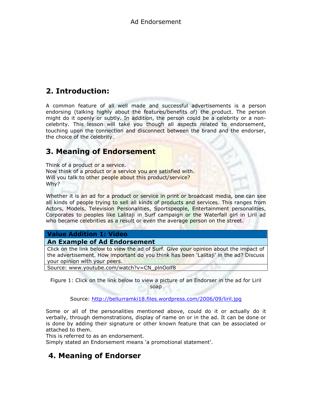# **2. Introduction:**

A common feature of all well made and successful advertisements is a person endorsing (talking highly about the features/benefits of) the product. The person might do it openly or subtly. In addition, the person could be a celebrity or a noncelebrity. This lesson will take you though all aspects related to endorsement, touching upon the connection and disconnect between the brand and the endorser, the choice of the celebrity.

## **3. Meaning of Endorsement**

Think of a product or a service. Now think of a product or a service you are satisfied with. Will you talk to other people about this product/service? Why?

Whether it is an ad for a product or service in print or broadcast media, one can see all kinds of people trying to sell all kinds of products and services. This ranges from Actors, Models, Television Personalities, Sportspeople, Entertainment personalities, Corporates to peoples like Lalitaji in Surf campaign or the Waterfall girl in Liril ad who became celebrities as a result or even the average person on the street.

### **Value Addition 1: Video**

#### **An Example of Ad Endorsement**

Click on the link below to view the ad of Surf. Give your opinion about the impact of the advertisement. How important do you think has been 'Lalitaji' in the ad? Discuss your opinion with your peers.

Source: [www.youtube.com/watch?v=CN\\_plnOolf8](http://www.youtube.com/watch?v=CN_plnOolf8)

Figure 1: Click on the link below to view a picture of an Endorser in the ad for Liril soap

Source:<http://bellurramki18.files.wordpress.com/2006/09/liril.jpg>

Some or all of the personalities mentioned above, could do it or actually do it verbally, through demonstrations, display of name on or in the ad. It can be done or is done by adding their signature or other known feature that can be associated or attached to them.

This is referred to as an endorsement.

Simply stated an Endorsement means 'a promotional statement'.

## **4. Meaning of Endorser**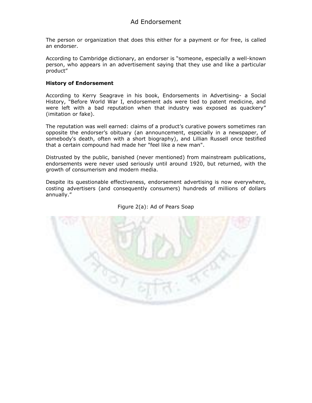The person or organization that does this either for a payment or for free, is called an endorser.

According to Cambridge dictionary, an endorser is "someone, especially a well-known person, who appears in an advertisement saying that they use and like a particular product"

#### **History of Endorsement**

According to Kerry Seagrave in his book, Endorsements in Advertising- a Social History, "Before World War I, endorsement ads were tied to patent medicine, and were left with a bad reputation when that industry was exposed as quackery" (imitation or fake).

The reputation was well earned: claims of a product's curative powers sometimes ran opposite the endorser's obituary (an announcement, especially in a newspaper, of somebody's death, often with a short biography), and Lillian Russell once testified that a certain compound had made her "feel like a new man".

Distrusted by the public, banished (never mentioned) from mainstream publications, endorsements were never used seriously until around 1920, but returned, with the growth of consumerism and modern media.

Despite its questionable effectiveness, endorsement advertising is now everywhere, costing advertisers (and consequently consumers) hundreds of millions of dollars annually."



#### Figure 2(a): Ad of Pears Soap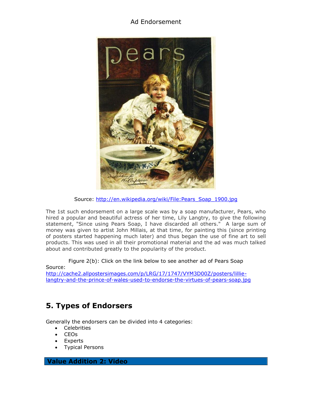

Source: [http://en.wikipedia.org/wiki/File:Pears\\_Soap\\_1900.jpg](http://en.wikipedia.org/wiki/File:Pears_Soap_1900.jpg)

The 1st such endorsement on a large scale was by a soap manufacturer, Pears, who hired a popular and beautiful actress of her time, Lily Langtry, to give the following statement, "Since using Pears Soap, I have discarded all others." A large sum of money was given to artist John Millais, at that time, for painting this (since printing of posters started happening much later) and thus began the use of fine art to sell products. This was used in all their promotional material and the ad was much talked about and contributed greatly to the popularity of the product.

Figure 2(b): Click on the link below to see another ad of Pears Soap Source:

[http://cache2.allpostersimages.com/p/LRG/17/1747/VYM3D00Z/posters/lillie](http://cache2.allpostersimages.com/p/LRG/17/1747/VYM3D00Z/posters/lillie-langtry-and-the-prince-of-wales-used-to-endorse-the-virtues-of-pears-soap.jpg)[langtry-and-the-prince-of-wales-used-to-endorse-the-virtues-of-pears-soap.jpg](http://cache2.allpostersimages.com/p/LRG/17/1747/VYM3D00Z/posters/lillie-langtry-and-the-prince-of-wales-used-to-endorse-the-virtues-of-pears-soap.jpg)

# **5. Types of Endorsers**

Generally the endorsers can be divided into 4 categories:

- Celebrities
- CEOs
- Experts
- Typical Persons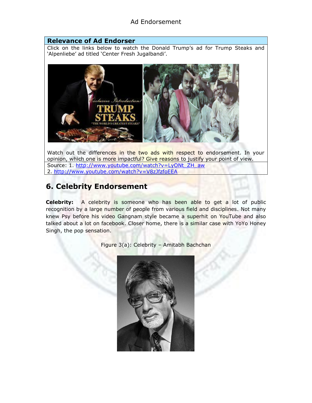#### **Relevance of Ad Endorser**

Click on the links below to watch the Donald Trump's ad for Trump Steaks and 'Alpenliebe' ad titled 'Center Fresh Jugalbandi'.



Watch out the differences in the two ads with respect to endorsement. In your opinion, which one is more impactful? Give reasons to justify your point of view. Source: 1. [http://www.youtube.com/watch?v=LyONt\\_ZH\\_aw](http://www.youtube.com/watch?v=LyONt_ZH_aw) 2.<http://www.youtube.com/watch?v=V8zJfzfoEEA>

## **6. Celebrity Endorsement**

**Celebrity:** A celebrity is someone who has been able to get a lot of public recognition by a large number of people from various field and disciplines. Not many knew Psy before his video Gangnam style became a superhit on YouTube and also talked about a lot on facebook. Closer home, there is a similar case with YoYo Honey Singh, the pop sensation.

Figure 3(a): Celebrity – Amitabh Bachchan

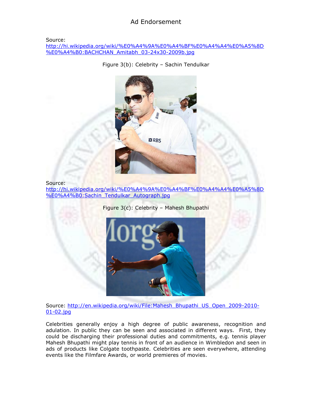Source:

[http://hi.wikipedia.org/wiki/%E0%A4%9A%E0%A4%BF%E0%A4%A4%E0%A5%8D](http://hi.wikipedia.org/wiki/%E0%A4%9A%E0%A4%BF%E0%A4%A4%E0%A5%8D%E0%A4%B0:BACHCHAN_Amitabh_03-24x30-2009b.jpg) [%E0%A4%B0:BACHCHAN\\_Amitabh\\_03-24x30-2009b.jpg](http://hi.wikipedia.org/wiki/%E0%A4%9A%E0%A4%BF%E0%A4%A4%E0%A5%8D%E0%A4%B0:BACHCHAN_Amitabh_03-24x30-2009b.jpg)

Figure 3(b): Celebrity – Sachin Tendulkar



#### Source:

[http://hi.wikipedia.org/wiki/%E0%A4%9A%E0%A4%BF%E0%A4%A4%E0%A5%8D](http://hi.wikipedia.org/wiki/%E0%A4%9A%E0%A4%BF%E0%A4%A4%E0%A5%8D%E0%A4%B0:Sachin_Tendulkar_Autograph.jpg) [%E0%A4%B0:Sachin\\_Tendulkar\\_Autograph.jpg](http://hi.wikipedia.org/wiki/%E0%A4%9A%E0%A4%BF%E0%A4%A4%E0%A5%8D%E0%A4%B0:Sachin_Tendulkar_Autograph.jpg)

Figure 3(c): Celebrity – Mahesh Bhupathi



Source: [http://en.wikipedia.org/wiki/File:Mahesh\\_Bhupathi\\_US\\_Open\\_2009-2010-](http://en.wikipedia.org/wiki/File:Mahesh_Bhupathi_US_Open_2009-2010-01-02.jpg)

[01-02.jpg](http://en.wikipedia.org/wiki/File:Mahesh_Bhupathi_US_Open_2009-2010-01-02.jpg)

Celebrities generally enjoy a high degree of public awareness, recognition and adulation. In public they can be seen and associated in different ways. First, they could be discharging their professional duties and commitments, e.g. tennis player Mahesh Bhupathi might play tennis in front of an audience in Wimbledon and seen in ads of products like Colgate toothpaste. Celebrities are seen everywhere, attending events like the Filmfare Awards, or world premieres of movies.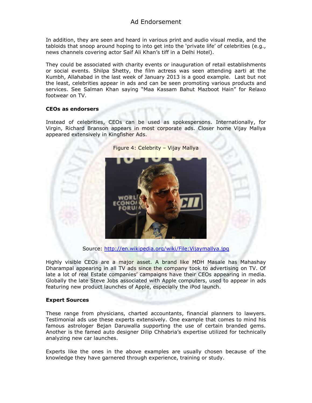In addition, they are seen and heard in various print and audio visual media, and the tabloids that snoop around hoping to into get into the 'private life' of celebrities (e.g., news channels covering actor Saif Ali Khan's tiff in a Delhi Hotel).

They could be associated with charity events or inauguration of retail establishments or social events. Shilpa Shetty, the film actress was seen attending aarti at the Kumbh, Allahabad in the last week of January 2013 is a good example. Last but not the least, celebrities appear in ads and can be seen promoting various products and services. See Salman Khan saying "Maa Kassam Bahut Mazboot Hain" for Relaxo footwear on TV.

#### **CEOs as endorsers**

Instead of celebrities, CEOs can be used as spokespersons. Internationally, for Virgin, Richard Branson appears in most corporate ads. Closer home Vijay Mallya appeared extensively in Kingfisher Ads.



Figure 4: Celebrity – Vijay Mallya

Source:<http://en.wikipedia.org/wiki/File:Vijaymallya.jpg>

Highly visible CEOs are a major asset. A brand like MDH Masale has Mahashay Dharampal appearing in all TV ads since the company took to advertising on TV. Of late a lot of real Estate companies' campaigns have their CEOs appearing in media. Globally the late Steve Jobs associated with Apple computers, used to appear in ads featuring new product launches of Apple, especially the iPod launch.

#### **Expert Sources**

These range from physicians, charted accountants, financial planners to lawyers. Testimonial ads use these experts extensively. One example that comes to mind his famous astrologer Bejan Daruwalla supporting the use of certain branded gems. Another is the famed auto designer Dilip Chhabria's expertise utilized for technically analyzing new car launches.

Experts like the ones in the above examples are usually chosen because of the knowledge they have garnered through experience, training or study.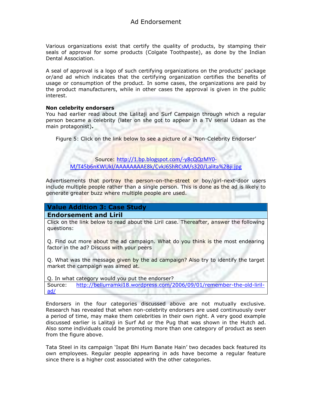Various organizations exist that certify the quality of products, by stamping their seals of approval for some products (Colgate Toothpaste), as done by the Indian Dental Association.

A seal of approval is a logo of such certifying organizations on the products' package or/and ad which indicates that the certifying organization certifies the benefits of usage or consumption of the product. In some cases, the organizations are paid by the product manufacturers, while in other cases the approval is given in the public interest.

#### **Non celebrity endorsers**

You had earlier read about the Lalitaji and Surf Campaign through which a regular person became a celebrity (later on she got to appear in a TV serial Udaan as the main protagonist)**.**

Figure 5: Click on the link below to see a picture of a 'Non-Celebrity Endorser'

Source: [http://1.bp.blogspot.com/-y8cQQzMY0-](http://1.bp.blogspot.com/-y8cQQzMY0-M/T45b6nKWUkI/AAAAAAAAE8k/CvkJ6ShRCsM/s320/Lalita%2Bji.jpg) [M/T45b6nKWUkI/AAAAAAAAE8k/CvkJ6ShRCsM/s320/Lalita%2Bji.jpg](http://1.bp.blogspot.com/-y8cQQzMY0-M/T45b6nKWUkI/AAAAAAAAE8k/CvkJ6ShRCsM/s320/Lalita%2Bji.jpg)

Advertisements that portray the person-on-the-street or boy/girl-next-door users include multiple people rather than a single person. This is done as the ad is likely to generate greater buzz where multiple people are used.

### **Value Addition 3: Case Study**

**Endorsement and Liril**

Click on the link below to read about the Liril case. Thereafter, answer the following questions:

Q. Find out more about the ad campaign. What do you think is the most endearing factor in the ad? Discuss with your peers

Q. What was the message given by the ad campaign? Also try to identify the target market the campaign was aimed at.

Q. In what category would you put the endorser? Source: [http://bellurramki18.wordpress.com/2006/09/01/remember-the-old-liril](http://bellurramki18.wordpress.com/2006/09/01/remember-the-old-liril-ad/)[ad/](http://bellurramki18.wordpress.com/2006/09/01/remember-the-old-liril-ad/)

Endorsers in the four categories discussed above are not mutually exclusive. Research has revealed that when non-celebrity endorsers are used continuously over a period of time, may make them celebrities in their own right. A very good example discussed earlier is Lalitaji in Surf Ad or the Pug that was shown in the Hutch ad. Also some individuals could be promoting more than one category of product as seen from the figure above.

Tata Steel in its campaign 'Ispat Bhi Hum Banate Hain' two decades back featured its own employees. Regular people appearing in ads have become a regular feature since there is a higher cost associated with the other categories.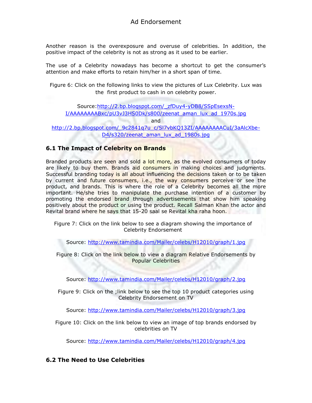Another reason is the overexposure and overuse of celebrities. In addition, the positive impact of the celebrity is not as strong as it used to be earlier.

The use of a Celebrity nowadays has become a shortcut to get the consumer's attention and make efforts to retain him/her in a short span of time.

Figure 6: Click on the following links to view the pictures of Lux Celebrity. Lux was the first product to cash in on celebrity power.

Source[:http://2.bp.blogspot.com/\\_zfDuy4-yDB8/SSpEsexsN-](http://2.bp.blogspot.com/_zfDuy4-yDB8/SSpEsexsN-I/AAAAAAAABxc/pU3vJ3HS0Dk/s800/zeenat_aman_lux_ad_1970s.jpg)[I/AAAAAAAABxc/pU3vJ3HS0Dk/s800/zeenat\\_aman\\_lux\\_ad\\_1970s.jpg](http://2.bp.blogspot.com/_zfDuy4-yDB8/SSpEsexsN-I/AAAAAAAABxc/pU3vJ3HS0Dk/s800/zeenat_aman_lux_ad_1970s.jpg)

and

http://2.bp.blogspot.com/ 9c2841q7u c/Sl7vbKQ13ZI/AAAAAAAACuI/3aAlcXbe-[D4/s320/zeenat\\_aman\\_lux\\_ad\\_1980s.jpg](http://2.bp.blogspot.com/_9c2841q7u_c/Sl7vbKQ13ZI/AAAAAAAACuI/3aAlcXbe-D4/s320/zeenat_aman_lux_ad_1980s.jpg)

### **6.1 The Impact of Celebrity on Brands**

Branded products are seen and sold a lot more, as the evolved consumers of today are likely to buy them. Brands aid consumers in making choices and judgments. Successful branding today is all about influencing the decisions taken or to be taken by current and future consumers, i.e., the way consumers perceive or see the product, and brands. This is where the role of a Celebrity becomes all the more important. He/she tries to manipulate the purchase intention of a customer by promoting the endorsed brand through advertisements that show him speaking positively about the product or using the product. Recall Salman Khan the actor and Revital brand where he says that 15-20 saal se Revital kha raha hoon.

Figure 7: Click on the link below to see a diagram showing the importance of Celebrity Endorsement

Source:<http://www.tamindia.com/Mailer/celebs/H12010/graph/1.jpg>

Figure 8: Click on the link below to view a diagram Relative Endorsements by Popular Celebrities

Source:<http://www.tamindia.com/Mailer/celebs/H12010/graph/2.jpg>

Figure 9: Click on the ;link below to see the top 10 product categories using Celebrity Endorsement on TV

Source:<http://www.tamindia.com/Mailer/celebs/H12010/graph/3.jpg>

Figure 10: Click on the link below to view an image of top brands endorsed by celebrities on TV

Source:<http://www.tamindia.com/Mailer/celebs/H12010/graph/4.jpg>

### **6.2 The Need to Use Celebrities**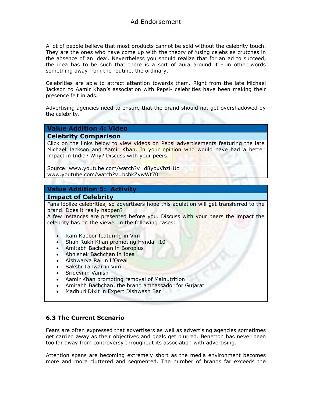A lot of people believe that most products cannot be sold without the celebrity touch. They are the ones who have come up with the theory of 'using celebs as crutches in the absence of an idea'. Nevertheless you should realize that for an ad to succeed, the idea has to be such that there is a sort of aura around it - in other words something away from the routine, the ordinary.

Celebrities are able to attract attention towards them. Right from the late Michael Jackson to Aamir Khan's association with Pepsi- celebrities have been making their presence felt in ads.

Advertising agencies need to ensure that the brand should not get overshadowed by the celebrity.

## **Value Addition 4: Video**

**Celebrity Comparison**

Click on the links below to view videos on Pepsi advertisements featuring the late Michael Jackson and Aamir Khan. In your opinion who would have had a better impact in India? Why? Discuss with your peers.

Source: [www.youtube.com/watch?v=d8yoxVhzHUc](http://www.youtube.com/watch?v=d8yoxVhzHUc) [www.youtube.com/watch?v=bsbkZywWt70](http://www.youtube.com/watch?v=bsbkZywWt70)

### **Value Addition 5: Activity**

**Impact of Celebrity**

Fans idolize celebrities, so advertisers hope this adulation will get transferred to the brand. Does it really happen?

A few instances are presented before you. Discuss with your peers the impact the celebrity has on the viewer in the following cases:

- Ram Kapoor featuring in Vim
- Shah Rukh Khan promoting Hyndai i10
- Amitabh Bachchan in Boroplus
- Abhishek Bachchan in Idea
- Aishwarya Rai in L'Oreal
- Sakshi Tanwar in Vim
- Sridevi in Vanish
- Aamir Khan promoting removal of Malnutrition
- Amitabh Bachchan, the brand ambassador for Gujarat
- Madhuri Dixit in Expert Dishwash Bar

### **6.3 The Current Scenario**

Fears are often expressed that advertisers as well as advertising agencies sometimes get carried away as their objectives and goals get blurred. Benetton has never been too far away from controversy throughout its association with advertising.

Attention spans are becoming extremely short as the media environment becomes more and more cluttered and segmented. The number of brands far exceeds the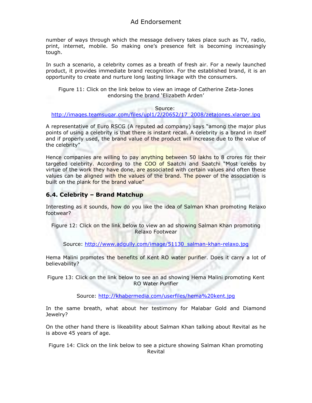number of ways through which the message delivery takes place such as TV, radio, print, internet, mobile. So making one's presence felt is becoming increasingly tough.

In such a scenario, a celebrity comes as a breath of fresh air. For a newly launched product, it provides immediate brand recognition. For the established brand, it is an opportunity to create and nurture long lasting linkage with the consumers.

Figure 11: Click on the link below to view an image of Catherine Zeta-Jones endorsing the brand 'Elizabeth Arden'

#### Source:

#### [http://images.teamsugar.com/files/upl1/2/20652/17\\_2008/zetajones.xlarger.jpg](http://images.teamsugar.com/files/upl1/2/20652/17_2008/zetajones.xlarger.jpg)

A representative of Euro RSCG (A reputed ad company) says "among the major plus points of using a celebrity is that there is instant recall. A celebrity is a brand in itself and if properly used, the brand value of the product will increase due to the value of the celebrity"

Hence companies are willing to pay anything between 50 lakhs to 8 crores for their targeted celebrity. According to the COO of Saatchi and Saatchi "Most celebs by virtue of the work they have done, are associated with certain values and often these values can be aligned with the values of the brand. The power of the association is built on the plank for the brand value"

#### **6.4. Celebrity – Brand Matchup**

Interesting as it sounds, how do you like the idea of Salman Khan promoting Relaxo footwear?

Figure 12: Click on the link below to view an ad showing Salman Khan promoting Relaxo Footwear

Source: [http://www.adgully.com/image/51130\\_salman-khan-relaxo.jpg](http://www.adgully.com/image/51130_salman-khan-relaxo.jpg)

Hema Malini promotes the benefits of Kent RO water purifier. Does it carry a lot of believability?

Figure 13: Click on the link below to see an ad showing Hema Malini promoting Kent RO Water Purifier

Source:<http://khabermedia.com/userfiles/hema%20kent.jpg>

In the same breath, what about her testimony for Malabar Gold and Diamond Jewelry?

On the other hand there is likeability about Salman Khan talking about Revital as he is above 45 years of age.

Figure 14: Click on the link below to see a picture showing Salman Khan promoting Revital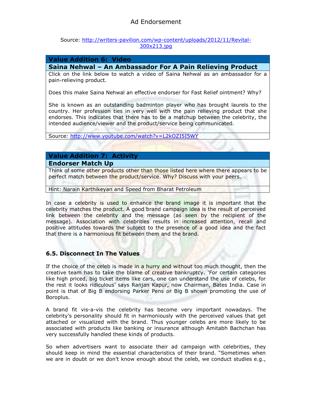#### Source: [http://writers-pavilion.com/wp-content/uploads/2012/11/Revital-](http://writers-pavilion.com/wp-content/uploads/2012/11/Revital-300x213.jpg)[300x213.jpg](http://writers-pavilion.com/wp-content/uploads/2012/11/Revital-300x213.jpg)

#### **Value Addition 6: Video**

#### **Saina Nehwal – An Ambassador For A Pain Relieving Product**

Click on the link below to watch a video of Saina Nehwal as an ambassador for a pain-relieving product.

Does this make Saina Nehwal an effective endorser for Fast Relief ointment? Why?

She is known as an outstanding badminton player who has brought laurels to the country. Her profession ties in very well with the pain relieving product that she endorses. This indicates that there has to be a matchup between the celebrity, the intended audience/viewer and the product/service being communicated.

Source:<http://www.youtube.com/watch?v=L2kOZI5I5WY>

## **Value Addition 7: Activity**

#### **Endorser Match Up**

Think of some other products other than those listed here where there appears to be perfect match between the product/service. Why? Discuss with your peers.

Hint: Narain Karthikeyan and Speed from Bharat Petroleum

In case a celebrity is used to enhance the brand image it is important that the celebrity matches the product. A good brand campaign idea is the result of perceived link between the celebrity and the message (as seen by the recipient of the message). Association with celebrities results in increased attention, recall and positive attitudes towards the subject to the presence of a good idea and the fact that there is a harmonious fit between them and the brand.

#### **6.5. Disconnect In The Values**

If the choice of the celeb is made in a hurry and without too much thought, then the creative team has to take the blame of creative bankruptcy. 'For certain categories like high priced, big ticket items like cars, one can understand the use of celebs, for the rest it looks ridiculous' says Ranjan Kapur, now Chairman, Bates India. Case in point is that of Big B endorsing Parker Pens or Big B shown promoting the use of Boroplus.

A brand fit vis-a-vis the celebrity has become very important nowadays. The celebrity's personality should fit in harmoniously with the perceived values that get attached or visualized with the brand. Thus younger celebs are more likely to be associated with products like banking or insurance although Amitabh Bachchan has very successfully handled these kinds of products.

So when advertisers want to associate their ad campaign with celebrities, they should keep in mind the essential characteristics of their brand. "Sometimes when we are in doubt or we don't know enough about the celeb, we conduct studies e.g.,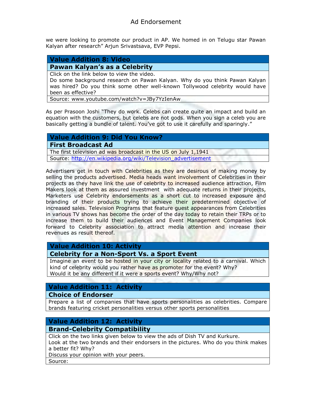we were looking to promote our product in AP. We homed in on Telugu star Pawan Kalyan after research" Arjun Srivastsava, EVP Pepsi.

### **Value Addition 8: Video**

#### **Pawan Kalyan's as a Celebrity**

Click on the link below to view the video.

Do some background research on Pawan Kalyan. Why do you think Pawan Kalyan was hired? Do you think some other well-known Tollywood celebrity would have been as effective?

Source: [www.youtube.com/watch?v=JBy7YzIenAw](http://www.youtube.com/watch?v=JBy7YzIenAw)

As per Prasoon Joshi "They do work. Celebs can create quite an impact and build an equation with the customers, but celebs are not gods. When you sign a celeb you are basically getting a bundle of talent. You've got to use it carefully and sparingly."

#### **Value Addition 9: Did You Know?**

**First Broadcast Ad**

The first television ad was broadcast in the US on July 1,1941 Source: [http://en.wikipedia.org/wiki/Television\\_advertisement](http://en.wikipedia.org/wiki/Television_advertisement)

Advertisers get in touch with Celebrities as they are desirous of making money by selling the products advertised. Media heads want involvement of Celebrities in their projects as they have link the use of celebrity to increased audience attraction, Film Makers look at them as assured investment with adequate returns in their projects, Marketers use Celebrity endorsements as a short cut to increased exposure and branding of their products trying to achieve their predetermined objective of increased sales. Television Programs that feature guest appearances from Celebrities in various TV shows has become the order of the day today to retain their TRPs or to increase them to build their audiences and Event Management Companies look forward to Celebrity association to attract media attention and increase their revenues as result thereof.

#### **Value Addition 10: Activity**

**Celebrity for a Non-Sport Vs. a Sport Event**

Imagine an event to be hosted in your city or locality related to a carnival. Which kind of celebrity would you rather have as promoter for the event? Why? Would it be any different if it were a sports event? Why/Why not?

#### **Value Addition 11: Activity**

#### **Choice of Endorser**

Prepare a list of companies that have sports personalities as celebrities. Compare brands featuring cricket personalities versus other sports personalities

## **Value Addition 12: Activity**

### **Brand-Celebrity Compatibility**

Click on the two links given below to view the ads of Dish TV and Kurkure.

Look at the two brands and their endorsers in the pictures. Who do you think makes a better fit? Why?

Discuss your opinion with your peers.

Source: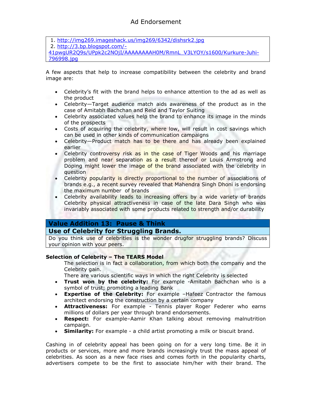1.<http://img269.imageshack.us/img269/6342/dishsrk2.jpg> 2. [http://3.bp.blogspot.com/-](http://3.bp.blogspot.com/-41pwgUR2Q9s/UPpk2c2NOjI/AAAAAAAAH0M/RmnL_V3LYOY/s1600/Kurkure-Juhi-796998.jpg) [41pwgUR2Q9s/UPpk2c2NOjI/AAAAAAAAH0M/RmnL\\_V3LYOY/s1600/Kurkure-Juhi-](http://3.bp.blogspot.com/-41pwgUR2Q9s/UPpk2c2NOjI/AAAAAAAAH0M/RmnL_V3LYOY/s1600/Kurkure-Juhi-796998.jpg)[796998.jpg](http://3.bp.blogspot.com/-41pwgUR2Q9s/UPpk2c2NOjI/AAAAAAAAH0M/RmnL_V3LYOY/s1600/Kurkure-Juhi-796998.jpg)

A few aspects that help to increase compatibility between the celebrity and brand image are:

- Celebrity's fit with the brand helps to enhance attention to the ad as well as the product
- Celebrity—Target audience match aids awareness of the product as in the case of Amitabh Bachchan and Reid and Taylor Suiting
- Celebrity associated values help the brand to enhance its image in the minds of the prospects
- Costs of acquiring the celebrity, where low, will result in cost savings which can be used in other kinds of communication campaigns
- Celebrity—Product match has to be there and has already been explained earlier
- Celebrity controversy risk as in the case of Tiger Woods and his marriage problem and near separation as a result thereof or Louis Armstrong and Doping might lower the image of the brand associated with the celebrity in question
- Celebrity popularity is directly proportional to the number of associations of brands e.g., a recent survey revealed that Mahendra Singh Dhoni is endorsing the maximum number of brands
- Celebrity availability leads to increasing offers by a wide variety of brands Celebrity physical attractiveness in case of the late Dara Singh who was invariably associated with some products related to strength and/or durability

### **Value Addition 13: Pause & Think**

### **Use of Celebrity for Struggling Brands.**

Do you think use of celebrities is the wonder drugfor struggling brands? Discuss your opinion with your peers.

#### **Selection of Celebrity – The TEARS Model**

The selection is in fact a collaboration, from which both the company and the Celebrity gain.

There are various scientific ways in which the right Celebrity is selected

- **Trust won by the celebrity:** For example -Amitabh Bachchan who is a symbol of trust; promoting a leading Bank
- **Expertise of the Celebrity:** For example –Hafeez Contractor the famous architect endorsing the construction by a certain company
- **Attractiveness:** For example Tennis player Roger Federer who earns millions of dollars per year through brand endorsements.
- **Respect:** For example–Aamir Khan talking about removing malnutrition campaign.
- **Similarity:** For example a child artist promoting a milk or biscuit brand.

Cashing in of celebrity appeal has been going on for a very long time. Be it in products or services, more and more brands increasingly trust the mass appeal of celebrities. As soon as a new face rises and comes forth in the popularity charts, advertisers compete to be the first to associate him/her with their brand. The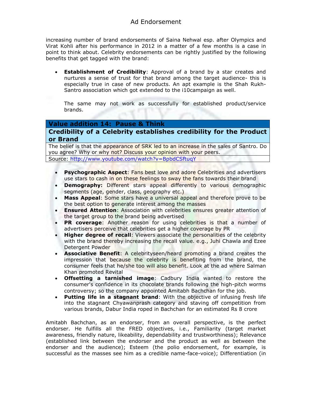increasing number of brand endorsements of Saina Nehwal esp. after Olympics and Virat Kohli after his performance in 2012 in a matter of a few months is a case in point to think about. Celebrity endorsements can be rightly justified by the following benefits that get tagged with the brand:

 **Establishment of Credibility**: Approval of a brand by a star creates and nurtures a sense of trust for that brand among the target audience- this is especially true in case of new products. An apt example is the Shah Rukh-Santro association which got extended to the i10campaign as well.

The same may not work as successfully for established product/service brands.

#### **Value addition 14: Pause & Think**

#### **Credibility of a Celebrity establishes credibility for the Product or Brand**

The belief is that the appearance of SRK led to an increase in the sales of Santro. Do you agree? Why or why not? Discuss your opinion with your peers. Source:<http://www.youtube.com/watch?v=BpbdCSftuqY>

- **Psychographic Aspect**: Fans best love and adore Celebrities and advertisers use stars to cash in on these feelings to sway the fans towards their brand
- **Demography:** Different stars appeal differently to various demographic segments (age, gender, class, geography etc.)
- **Mass Appeal**: Some stars have a universal appeal and therefore prove to be the best option to generate interest among the masses
- **Ensured Attention**: Association with celebrities ensures greater attention of the target group to the brand being advertised
- **PR coverage**: Another reason for using celebrities is that a number of advertisers perceive that celebrities get a higher coverage by PR
- **Higher degree of recall**: Viewers associate the personalities of the celebrity with the brand thereby increasing the recall value. e.g., Juhi Chawla and Ezee Detergent Powder
- **Associative Benefit**: A celebrityseen/heard promoting a brand creates the impression that because the celebrity is benefiting from the brand, the consumer feels that he/she too will also benefit. Look at the ad where Salman Khan promoted Revital
- **Offsetting a tarnished image**: Cadbury India wanted to restore the consumer's confidence in its chocolate brands following the high-pitch worms controversy; so the company appointed Amitabh Bachchan for the job.
- **Putting life in a stagnant brand**: With the objective of infusing fresh life into the stagnant Chyawanprash category and staving off competition from various brands, Dabur India roped in Bachchan for an estimated Rs 8 crore

Amitabh Bachchan, as an endorser, from an overall perspective, is the perfect endorser. He fulfills all the FRED objectives, i.e., Familiarity (target market awareness, friendly nature, likeability, dependability and trustworthiness); Relevance (established link between the endorser and the product as well as between the endorser and the audience); Esteem (the polio endorsement, for example, is successful as the masses see him as a credible name-face-voice); Differentiation (in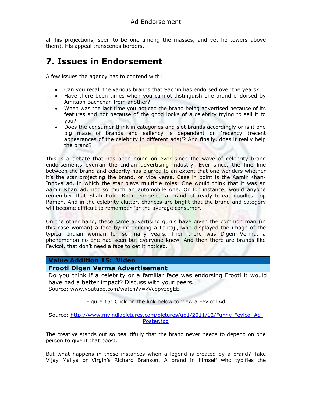all his projections, seen to be one among the masses, and yet he towers above them). His appeal transcends borders.

# **7. Issues in Endorsement**

A few issues the agency has to contend with:

- Can you recall the various brands that Sachin has endorsed over the years?
- Have there been times when you cannot distinguish one brand endorsed by Amitabh Bachchan from another?
- When was the last time you noticed the brand being advertised because of its features and not because of the good looks of a celebrity trying to sell it to you?
- Does the consumer think in categories and slot brands accordingly or is it one big maze of brands and saliency is dependent on 'recency (recent appearances of the celebrity in different ads)'? And finally, does it really help the brand?

This is a debate that has been going on ever since the wave of celebrity brand endorsements overran the Indian advertising industry. Ever since, the fine line between the brand and celebrity has blurred to an extent that one wonders whether it's the star projecting the brand, or vice versa. Case in point is the Aamir Khan-Innova ad, in which the star plays multiple roles. One would think that it was an Aamir Khan ad, not so much an automobile one. Or for instance, would anyone remember that Shah Rukh Khan endorsed a brand of ready-to-eat noodles Top Ramen. And in the celebrity clutter, chances are bright that the brand and category will become difficult to remember for the average consumer.

On the other hand, these same advertising gurus have given the common man (in this case woman) a face by introducing a Lalitaji, who displayed the image of the typical Indian woman for so many years. Then there was Digen Verma, a phenomenon no one had seen but everyone knew. And then there are brands like Fevicol, that don't need a face to get it noticed.

| <b>Value Addition 15: Video</b>                                              |
|------------------------------------------------------------------------------|
| <b>Frooti Digen Verma Advertisement</b>                                      |
| Do you think if a celebrity or a familiar face was endorsing Frooti it would |
| have had a better impact? Discuss with your peers.                           |
| Source: www.youtube.com/watch?v=kVcppyzogEE                                  |
|                                                                              |

Figure 15: Click on the link below to view a Fevicol Ad

Source: [http://www.myindiapictures.com/pictures/up1/2011/12/Funny-Fevicol-Ad-](http://www.myindiapictures.com/pictures/up1/2011/12/Funny-Fevicol-Ad-Poster.jpg)[Poster.jpg](http://www.myindiapictures.com/pictures/up1/2011/12/Funny-Fevicol-Ad-Poster.jpg)

The creative stands out so beautifully that the brand never needs to depend on one person to give it that boost.

But what happens in those instances when a legend is created by a brand? Take Vijay Mallya or Virgin's Richard Branson. A brand in himself who typifies the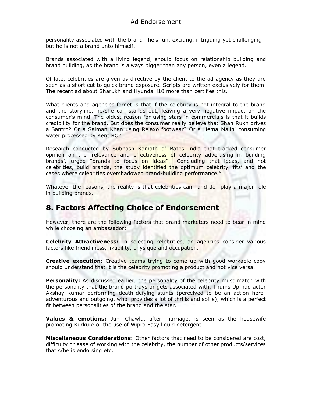personality associated with the brand—he's fun, exciting, intriguing yet challenging but he is not a brand unto himself.

Brands associated with a living legend, should focus on relationship building and brand building, as the brand is always bigger than any person, even a legend.

Of late, celebrities are given as directive by the client to the ad agency as they are seen as a short cut to quick brand exposure. Scripts are written exclusively for them. The recent ad about Sharukh and Hyundai i10 more than certifies this.

What clients and agencies forget is that if the celebrity is not integral to the brand and the storyline, he/she can stands out, leaving a very negative impact on the consumer's mind. The oldest reason for using stars in commercials is that it builds credibility for the brand. But does the consumer really believe that Shah Rukh drives a Santro? Or a Salman Khan using Relaxo footwear? Or a Hema Malini consuming water processed by Kent RO?

Research conducted by Subhash Kamath of Bates India that tracked consumer opinion on the 'relevance and effectiveness of celebrity advertising in building brands', urged "brands to focus on ideas". "Concluding that ideas, and not celebrities, build brands, the study identified the optimum celebrity 'fits' and the cases where celebrities overshadowed brand-building performance."

Whatever the reasons, the reality is that celebrities can—and do—play a major role in building brands.

## **8. Factors Affecting Choice of Endorsement**

However, there are the following factors that brand marketers need to bear in mind while choosing an ambassador:

**Celebrity Attractiveness:** In selecting celebrities, ad agencies consider various factors like friendliness, likability, physique and occupation.

**Creative execution:** Creative teams trying to come up with good workable copy should understand that it is the celebrity promoting a product and not vice versa.

**Personality:** As discussed earlier, the personality of the celebrity must match with the personality that the brand portrays or gets associated with. Thums Up had actor Akshay Kumar performing death-defying stunts (perceived to be an action heroadventurous and outgoing, who provides a lot of thrills and spills), which is a perfect fit between personalities of the brand and the star.

**Values & emotions:** Juhi Chawla, after marriage, is seen as the housewife promoting Kurkure or the use of Wipro Easy liquid detergent.

**Miscellaneous Considerations:** Other factors that need to be considered are cost, difficulty or ease of working with the celebrity, the number of other products/services that s/he is endorsing etc.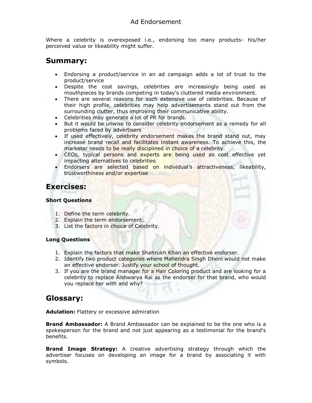Where a celebrity is overexposed i.e., endorsing too many products- his/her perceived value or likeability might suffer.

## **Summary:**

- Endorsing a product/service in an ad campaign adds a lot of trust to the product/service
- Despite the cost savings, celebrities are increasingly being used as mouthpieces by brands competing in today's cluttered media environment.
- There are several reasons for such extensive use of celebrities. Because of their high profile, celebrities may help advertisements stand out from the surrounding clutter, thus improving their communicative ability.
- Celebrities may generate a lot of PR for brands.
- But it would be unwise to consider celebrity endorsement as a remedy for all problems faced by advertisers
- If used effectively, celebrity endorsement makes the brand stand out, may increase brand recall and facilitates instant awareness. To achieve this, the marketer needs to be really disciplined in choice of a celebrity.
- CEOs, typical persons and experts are being used as cost effective yet impacting alternatives to celebrities
- Endorsers are selected based on individual's attractiveness, likeability, trustworthiness and/or expertise

## **Exercises:**

### **Short Questions**

- 1. Define the term celebrity.
- 2. Explain the term endorsement.
- 3. List the factors in choice of Celebrity.

#### **Long Questions**

- 1. Explain the factors that make Shahrukh Khan an effective endorser.
- 2. Identify two product categories where Mahendra Singh Dhoni would not make an effective endorser. Justify your school of thought.
- 3. If you are the brand manager for a Hair Coloring product and are looking for a celebrity to replace Aishwarya Rai as the endorser for that brand, who would you replace her with and why?

## **Glossary:**

**Adulation:** Flattery or excessive admiration

**Brand Ambassador:** A Brand Ambassador can be explained to be the one who is a spokesperson for the brand and not just appearing as a testimonial for the brand's benefits.

**Brand Image Strategy:** A creative advertising strategy through which the advertiser focuses on developing an image for a brand by associating it with symbols.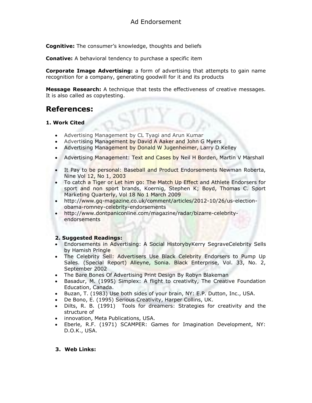**Cognitive:** The consumer's knowledge, thoughts and beliefs

**Conative:** A behavioral tendency to purchase a specific item

**Corporate Image Advertising:** a form of advertising that attempts to gain name recognition for a company, generating goodwill for it and its products

**Message Research:** A technique that tests the effectiveness of creative messages. It is also called as copytesting.

## **References:**

#### **1. Work Cited**

- Advertising Management by CL Tyagi and Arun Kumar
- Advertising Management by David A Aaker and John G Myers
- Advertising Management by Donald W Jugenheimer, Larry D Kelley
- Advertising Management: Text and Cases by Neil H Borden, Martin V Marshall
- It Pay to be personal: Baseball and Product Endorsements Newman Roberta, Nine Vol 12, No 1, 2003
- To catch a Tiger or Let him go: The Match Up Effect and Athlete Endorsers for sport and non sport brands, Koernig, Stephen K; Boyd, Thomas C. Sport Marketing Quarterly, Vol 18 No 1 March 2009
- [http://www.gq-magazine.co.uk/comment/articles/2012-10/26/us-election](http://www.gq-magazine.co.uk/comment/articles/2012-10/26/us-election-obama-romney-celebrity-endorsements)[obama-romney-celebrity-endorsements](http://www.gq-magazine.co.uk/comment/articles/2012-10/26/us-election-obama-romney-celebrity-endorsements)
- [http://www.dontpaniconline.com/magazine/radar/bizarre-celebrity](http://www.dontpaniconline.com/magazine/radar/bizarre-celebrity-endorsements)[endorsements](http://www.dontpaniconline.com/magazine/radar/bizarre-celebrity-endorsements)

#### **2. Suggested Readings:**

- Endorsements in Advertising: A Social Historyb[yKerry SegraveC](http://www.amazon.com/Kerry-Segrave/e/B001HPZDCM/ref=ntt_athr_dp_pel_1)elebrity Sells by Hamish Pringle
- The Celebrity Sell: Advertisers Use Black Celebrity Endorsers to Pump Up Sales. (Special Report) Alleyne, Sonia. Black Enterprise, Vol. 33, No. 2, September 2002
- The Bare Bones Of Advertising Print Design By Robyn Blakeman
- Basadur, M. (1995) Simplex: A flight to creativity, The Creative Foundation Education, Canada.
- Buzan, T. (1983) Use both sides of your brain, NY: E.P. Dutton, Inc., USA.
- De Bono, E. (1995) Serious Creativity, Harper Collins, UK.
- Dilts, R. B. (1991) Tools for dreamers: Strategies for creativity and the structure of
- innovation, Meta Publications, USA.
- Eberle, R.F. (1971) SCAMPER: Games for Imagination Development, NY: D.O.K., USA.

#### **3. Web Links:**